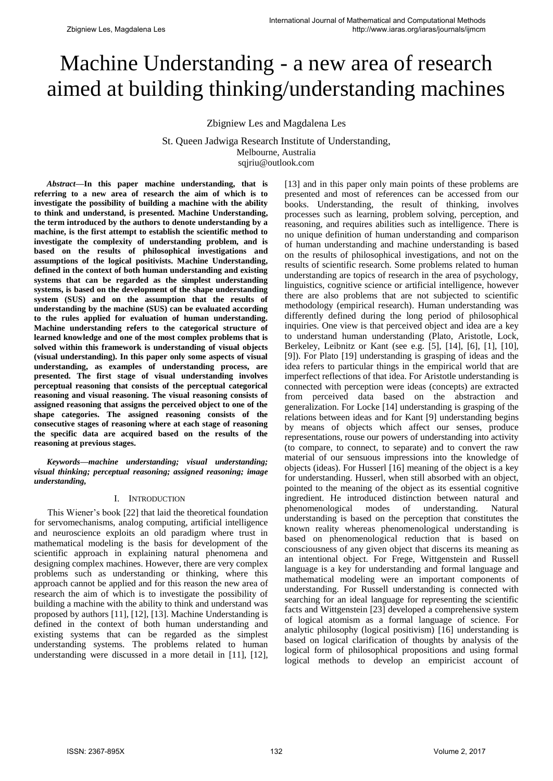# Machine Understanding - a new area of research aimed at building thinking/understanding machines

Zbigniew Les and Magdalena Les

St. Queen Jadwiga Research Institute of Understanding, Melbourne, Australia sqjriu@outlook.com

*Abstract***—In this paper machine understanding, that is referring to a new area of research the aim of which is to investigate the possibility of building a machine with the ability to think and understand, is presented. Machine Understanding, the term introduced by the authors to denote understanding by a machine, is the first attempt to establish the scientific method to investigate the complexity of understanding problem, and is based on the results of philosophical investigations and assumptions of the logical positivists. Machine Understanding, defined in the context of both human understanding and existing systems that can be regarded as the simplest understanding systems, is based on the development of the shape understanding system (SUS) and on the assumption that the results of understanding by the machine (SUS) can be evaluated according to the rules applied for evaluation of human understanding. Machine understanding refers to the categorical structure of learned knowledge and one of the most complex problems that is solved within this framework is understanding of visual objects (visual understanding). In this paper only some aspects of visual understanding, as examples of understanding process, are presented. The first stage of visual understanding involves perceptual reasoning that consists of the perceptual categorical reasoning and visual reasoning. The visual reasoning consists of assigned reasoning that assigns the perceived object to one of the shape categories. The assigned reasoning consists of the consecutive stages of reasoning where at each stage of reasoning the specific data are acquired based on the results of the reasoning at previous stages.**

*Keywords—machine understanding; visual understanding; visual thinking; perceptual reasoning; assigned reasoning; image understanding,* 

### I. INTRODUCTION

This Wiener"s book [22] that laid the theoretical foundation for servomechanisms, analog computing, artificial intelligence and neuroscience exploits an old paradigm where trust in mathematical modeling is the basis for development of the scientific approach in explaining natural phenomena and designing complex machines. However, there are very complex problems such as understanding or thinking, where this approach cannot be applied and for this reason the new area of research the aim of which is to investigate the possibility of building a machine with the ability to think and understand was proposed by authors [11], [12], [13]. Machine Understanding is defined in the context of both human understanding and existing systems that can be regarded as the simplest understanding systems. The problems related to human understanding were discussed in a more detail in [11], [12],

[13] and in this paper only main points of these problems are presented and most of references can be accessed from our books. Understanding, the result of thinking, involves processes such as learning, problem solving, perception, and reasoning, and requires abilities such as intelligence. There is no unique definition of human understanding and comparison of human understanding and machine understanding is based on the results of philosophical investigations, and not on the results of scientific research. Some problems related to human understanding are topics of research in the area of psychology, linguistics, cognitive science or artificial intelligence, however there are also problems that are not subjected to scientific methodology (empirical research). Human understanding was differently defined during the long period of philosophical inquiries. One view is that perceived object and idea are a key to understand human understanding (Plato, Aristotle, Lock, Berkeley, Leibnitz or Kant (see e.g. [5], [14], [6], [1], [10], [9]). For Plato [19] understanding is grasping of ideas and the idea refers to particular things in the empirical world that are imperfect reflections of that idea. For Aristotle understanding is connected with perception were ideas (concepts) are extracted from perceived data based on the abstraction and generalization. For Locke [14] understanding is grasping of the relations between ideas and for Kant [9] understanding begins by means of objects which affect our senses, produce representations, rouse our powers of understanding into activity (to compare, to connect, to separate) and to convert the raw material of our sensuous impressions into the knowledge of objects (ideas). For Husserl [16] meaning of the object is a key for understanding. Husserl, when still absorbed with an object, pointed to the meaning of the object as its essential cognitive ingredient. He introduced distinction between natural and phenomenological modes of understanding. Natural understanding is based on the perception that constitutes the known reality whereas phenomenological understanding is based on phenomenological reduction that is based on consciousness of any given object that discerns its meaning as an intentional object. For Frege, Wittgenstein and Russell language is a key for understanding and formal language and mathematical modeling were an important components of understanding. For Russell understanding is connected with searching for an ideal language for representing the scientific facts and Wittgenstein [23] developed a comprehensive system of logical atomism as a formal language of science. For analytic philosophy (logical positivism) [16] understanding is based on logical clarification of thoughts by analysis of the logical form of philosophical propositions and using formal logical methods to develop an empiricist account of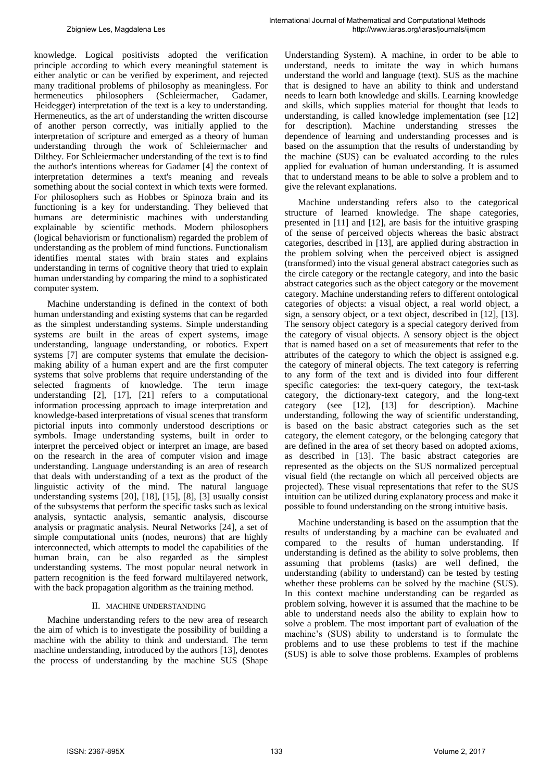knowledge. Logical positivists adopted the verification principle according to which every meaningful statement is either analytic or can be verified by experiment, and rejected many traditional problems of philosophy as meaningless. For hermeneutics philosophers (Schleiermacher, Gadamer, Heidegger) interpretation of the text is a key to understanding. Hermeneutics, as the art of understanding the written discourse of another person correctly, was initially applied to the interpretation of scripture and emerged as a theory of human understanding through the work of Schleiermacher and Dilthey. For Schleiermacher understanding of the text is to find the author's intentions whereas for Gadamer [4] the context of interpretation determines a text's meaning and reveals something about the social context in which texts were formed. For philosophers such as Hobbes or Spinoza brain and its functioning is a key for understanding. They believed that humans are deterministic machines with understanding explainable by scientific methods. Modern philosophers (logical behaviorism or functionalism) regarded the problem of understanding as the problem of mind functions. Functionalism identifies mental states with brain states and explains understanding in terms of cognitive theory that tried to explain human understanding by comparing the mind to a sophisticated computer system.

Machine understanding is defined in the context of both human understanding and existing systems that can be regarded as the simplest understanding systems. Simple understanding systems are built in the areas of expert systems, image understanding, language understanding, or robotics. Expert systems [7] are computer systems that emulate the decisionmaking ability of a human expert and are the first computer systems that solve problems that require understanding of the selected fragments of knowledge. The term image understanding [2], [17], [21] refers to a computational information processing approach to image interpretation and knowledge-based interpretations of visual scenes that transform pictorial inputs into commonly understood descriptions or symbols. Image understanding systems, built in order to interpret the perceived object or interpret an image, are based on the research in the area of computer vision and image understanding. Language understanding is an area of research that deals with understanding of a text as the product of the linguistic activity of the mind. The natural language understanding systems [20], [18], [15], [8], [3] usually consist of the subsystems that perform the specific tasks such as lexical analysis, syntactic analysis, semantic analysis, discourse analysis or pragmatic analysis. Neural Networks [24], a set of simple computational units (nodes, neurons) that are highly interconnected, which attempts to model the capabilities of the human brain, can be also regarded as the simplest understanding systems. The most popular neural network in pattern recognition is the feed forward multilayered network, with the back propagation algorithm as the training method.

### II. MACHINE UNDERSTANDING

Machine understanding refers to the new area of research the aim of which is to investigate the possibility of building a machine with the ability to think and understand. The term machine understanding, introduced by the authors [13], denotes the process of understanding by the machine SUS (Shape Understanding System). A machine, in order to be able to understand, needs to imitate the way in which humans understand the world and language (text). SUS as the machine that is designed to have an ability to think and understand needs to learn both knowledge and skills. Learning knowledge and skills, which supplies material for thought that leads to understanding, is called knowledge implementation (see [12] for description). Machine understanding stresses the dependence of learning and understanding processes and is based on the assumption that the results of understanding by the machine (SUS) can be evaluated according to the rules applied for evaluation of human understanding. It is assumed that to understand means to be able to solve a problem and to give the relevant explanations.

Machine understanding refers also to the categorical structure of learned knowledge. The shape categories, presented in [11] and [12], are basis for the intuitive grasping of the sense of perceived objects whereas the basic abstract categories, described in [13], are applied during abstraction in the problem solving when the perceived object is assigned (transformed) into the visual general abstract categories such as the circle category or the rectangle category, and into the basic abstract categories such as the object category or the movement category. Machine understanding refers to different ontological categories of objects: a visual object, a real world object, a sign, a sensory object, or a text object, described in [12], [13]. The sensory object category is a special category derived from the category of visual objects. A sensory object is the object that is named based on a set of measurements that refer to the attributes of the category to which the object is assigned e.g. the category of mineral objects. The text category is referring to any form of the text and is divided into four different specific categories: the text-query category, the text-task category, the dictionary-text category, and the long-text category (see [12], [13] for description). Machine understanding, following the way of scientific understanding, is based on the basic abstract categories such as the set category, the element category, or the belonging category that are defined in the area of set theory based on adopted axioms, as described in [13]. The basic abstract categories are represented as the objects on the SUS normalized perceptual visual field (the rectangle on which all perceived objects are projected). These visual representations that refer to the SUS intuition can be utilized during explanatory process and make it possible to found understanding on the strong intuitive basis.

Machine understanding is based on the assumption that the results of understanding by a machine can be evaluated and compared to the results of human understanding. If understanding is defined as the ability to solve problems, then assuming that problems (tasks) are well defined, the understanding (ability to understand) can be tested by testing whether these problems can be solved by the machine (SUS). In this context machine understanding can be regarded as problem solving, however it is assumed that the machine to be able to understand needs also the ability to explain how to solve a problem. The most important part of evaluation of the machine"s (SUS) ability to understand is to formulate the problems and to use these problems to test if the machine (SUS) is able to solve those problems. Examples of problems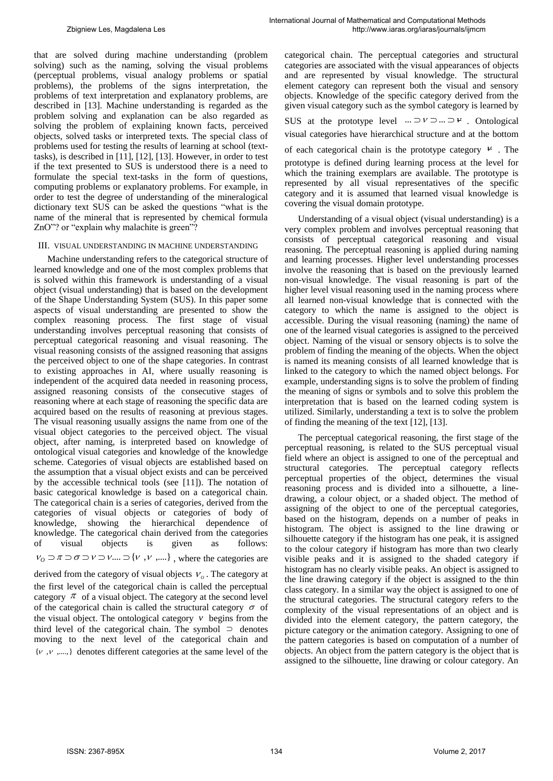covering the visual domain prototype.

that are solved during machine understanding (problem solving) such as the naming, solving the visual problems (perceptual problems, visual analogy problems or spatial problems), the problems of the signs interpretation, the problems of text interpretation and explanatory problems, are described in [13]. Machine understanding is regarded as the problem solving and explanation can be also regarded as solving the problem of explaining known facts, perceived objects, solved tasks or interpreted texts. The special class of problems used for testing the results of learning at school (texttasks), is described in [11], [12], [13]. However, in order to test if the text presented to SUS is understood there is a need to formulate the special text-tasks in the form of questions, computing problems or explanatory problems. For example, in order to test the degree of understanding of the mineralogical dictionary text SUS can be asked the questions "what is the name of the mineral that is represented by chemical formula ZnO"? or "explain why malachite is green"?

### III. VISUAL UNDERSTANDING IN MACHINE UNDERSTANDING

Machine understanding refers to the categorical structure of learned knowledge and one of the most complex problems that is solved within this framework is understanding of a visual object (visual understanding) that is based on the development of the Shape Understanding System (SUS). In this paper some aspects of visual understanding are presented to show the complex reasoning process. The first stage of visual understanding involves perceptual reasoning that consists of perceptual categorical reasoning and visual reasoning. The visual reasoning consists of the assigned reasoning that assigns the perceived object to one of the shape categories. In contrast to existing approaches in AI, where usually reasoning is independent of the acquired data needed in reasoning process, assigned reasoning consists of the consecutive stages of reasoning where at each stage of reasoning the specific data are acquired based on the results of reasoning at previous stages. The visual reasoning usually assigns the name from one of the visual object categories to the perceived object. The visual object, after naming, is interpreted based on knowledge of ontological visual categories and knowledge of the knowledge scheme. Categories of visual objects are established based on the assumption that a visual object exists and can be perceived by the accessible technical tools (see [11]). The notation of basic categorical knowledge is based on a categorical chain. The categorical chain is a series of categories, derived from the categories of visual objects or categories of body of knowledge, showing the hierarchical dependence of knowledge. The categorical chain derived from the categories of visual objects is given as follows:  $V_0 \supset \pi \supset \sigma \supset V \supset V .... \supset \{V, V, ....\}$ , where the categories are

derived from the category of visual objects  $V<sub>o</sub>$ . The category at the first level of the categorical chain is called the perceptual category  $\pi$  of a visual object. The category at the second level of the categorical chain is called the structural category  $\sigma$  of the visual object. The ontological category  $v$  begins from the third level of the categorical chain. The symbol  $\supset$  denotes moving to the next level of the categorical chain and  $\{v, v, \ldots\}$  denotes different categories at the same level of the categorical chain. The perceptual categories and structural categories are associated with the visual appearances of objects and are represented by visual knowledge. The structural element category can represent both the visual and sensory objects. Knowledge of the specific category derived from the given visual category such as the symbol category is learned by SUS at the prototype level  $\cdots \supset V \supset \cdots \supset V$ . Ontological visual categories have hierarchical structure and at the bottom of each categorical chain is the prototype category  $\mu$ . The prototype is defined during learning process at the level for which the training exemplars are available. The prototype is represented by all visual representatives of the specific category and it is assumed that learned visual knowledge is

Understanding of a visual object (visual understanding) is a very complex problem and involves perceptual reasoning that consists of perceptual categorical reasoning and visual reasoning. The perceptual reasoning is applied during naming and learning processes. Higher level understanding processes involve the reasoning that is based on the previously learned non-visual knowledge. The visual reasoning is part of the higher level visual reasoning used in the naming process where all learned non-visual knowledge that is connected with the category to which the name is assigned to the object is accessible. During the visual reasoning (naming) the name of one of the learned visual categories is assigned to the perceived object. Naming of the visual or sensory objects is to solve the problem of finding the meaning of the objects. When the object is named its meaning consists of all learned knowledge that is linked to the category to which the named object belongs. For example, understanding signs is to solve the problem of finding the meaning of signs or symbols and to solve this problem the interpretation that is based on the learned coding system is utilized. Similarly, understanding a text is to solve the problem of finding the meaning of the text [12], [13].

The perceptual categorical reasoning, the first stage of the perceptual reasoning, is related to the SUS perceptual visual field where an object is assigned to one of the perceptual and structural categories. The perceptual category reflects perceptual properties of the object, determines the visual reasoning process and is divided into a silhouette, a linedrawing, a colour object, or a shaded object. The method of assigning of the object to one of the perceptual categories, based on the histogram, depends on a number of peaks in histogram. The object is assigned to the line drawing or silhouette category if the histogram has one peak, it is assigned to the colour category if histogram has more than two clearly visible peaks and it is assigned to the shaded category if histogram has no clearly visible peaks. An object is assigned to the line drawing category if the object is assigned to the thin class category. In a similar way the object is assigned to one of the structural categories. The structural category refers to the complexity of the visual representations of an object and is divided into the element category, the pattern category, the picture category or the animation category. Assigning to one of the pattern categories is based on computation of a number of objects. An object from the pattern category is the object that is assigned to the silhouette, line drawing or colour category. An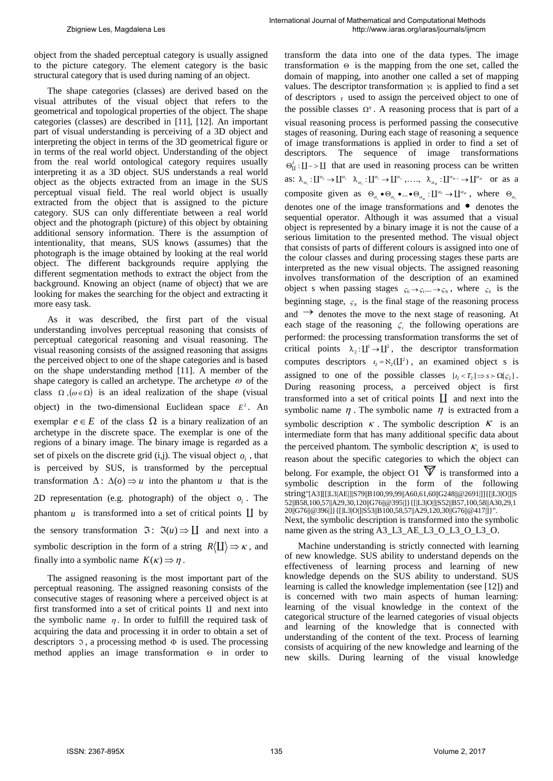object from the shaded perceptual category is usually assigned to the picture category. The element category is the basic structural category that is used during naming of an object.

The shape categories (classes) are derived based on the visual attributes of the visual object that refers to the geometrical and topological properties of the object. The shape categories (classes) are described in [11], [12]. An important part of visual understanding is perceiving of a 3D object and interpreting the object in terms of the 3D geometrical figure or in terms of the real world object. Understanding of the object from the real world ontological category requires usually interpreting it as a 3D object. SUS understands a real world object as the objects extracted from an image in the SUS perceptual visual field. The real world object is usually extracted from the object that is assigned to the picture category. SUS can only differentiate between a real world object and the photograph (picture) of this object by obtaining additional sensory information. There is the assumption of intentionality, that means, SUS knows (assumes) that the photograph is the image obtained by looking at the real world object. The different backgrounds require applying the different segmentation methods to extract the object from the background. Knowing an object (name of object) that we are looking for makes the searching for the object and extracting it more easy task.

As it was described, the first part of the visual understanding involves perceptual reasoning that consists of perceptual categorical reasoning and visual reasoning. The visual reasoning consists of the assigned reasoning that assigns the perceived object to one of the shape categories and is based on the shape understanding method [11]. A member of the shape category is called an archetype. The archetype  $\omega$  of the class  $\Omega$ ,  $(\omega \in \Omega)$  is an ideal realization of the shape (visual object) in the two-dimensional Euclidean space  $E^2$ . An exemplar  $e \in E$  of the class  $\Omega$  is a binary realization of an archetype in the discrete space. The exemplar is one of the regions of a binary image. The binary image is regarded as a set of pixels on the discrete grid  $(i,j)$ . The visual object  $o_i$ , that is perceived by SUS, is transformed by the perceptual transformation  $\Delta: \Delta(o) \Rightarrow u$  into the phantom u that is the 2D representation (e.g. photograph) of the object  $o_i$ . The phantom  $u$  is transformed into a set of critical points  $\coprod$  by the sensory transformation  $\Im: \Im(u) \Rightarrow \coprod$  and next into a symbolic description in the form of a string  $R(\mathbf{I}) \Rightarrow \kappa$ , and finally into a symbolic name  $K(\kappa) \Rightarrow \eta$ .

The assigned reasoning is the most important part of the perceptual reasoning. The assigned reasoning consists of the consecutive stages of reasoning where a perceived object is at first transformed into a set of critical points  $\mathbf{I}$  and next into the symbolic name  $\eta$ . In order to fulfill the required task of acquiring the data and processing it in order to obtain a set of descriptors  $\infty$ , a processing method  $\Phi$  is used. The processing method applies an image transformation  $\Theta$  in order to transform the data into one of the data types. The image transformation  $\Theta$  is the mapping from the one set, called the domain of mapping, into another one called a set of mapping values. The descriptor transformation  $\aleph$  is applied to find a set of descriptors  $\iota$  used to assign the perceived object to one of the possible classes  $\Omega$ <sup>n</sup>. A reasoning process that is part of a visual reasoning process is performed passing the consecutive stages of reasoning. During each stage of reasoning a sequence of image transformations is applied in order to find a set of descriptors. The sequence of image transformations  $\Theta_{\text{II}}^{\lambda}$ :  $\text{II}$  ->  $\text{II}$  that are used in reasoning process can be written as:  $\lambda_{\alpha_1}: \mathcal{L}^{\alpha_0} \to \mathcal{L}^{\alpha_1} \quad \lambda_{\alpha_2}: \mathcal{L}^{\alpha_1} \to \mathcal{L}^{\alpha_2} \quad \dots \quad \lambda_{\alpha_M}: \mathcal{L}^{\alpha_{M-1}} \to \mathcal{L}^{\alpha_M} \quad \text{or as a}$ composite given as  $\Theta_{\alpha_1} \bullet \Theta_{\alpha_2} \bullet ... \bullet \Theta_{\alpha_M} : \mathbb{L}^{\alpha_0} \to \mathbb{L}^{\alpha_M}$ , where  $\Theta_{\alpha_1}$ denotes one of the image transformations and  $\bullet$  denotes the sequential operator. Although it was assumed that a visual object is represented by a binary image it is not the cause of a serious limitation to the presented method. The visual object that consists of parts of different colours is assigned into one of the colour classes and during processing stages these parts are interpreted as the new visual objects. The assigned reasoning involves transformation of the description of an examined object s when passing stages  $\varsigma_0 \rightarrow \varsigma_1 ... \rightarrow \varsigma_N$ , where  $\varsigma_0$  is the beginning stage,  $\varsigma_N$  is the final stage of the reasoning process and  $\rightarrow$  denotes the move to the next stage of reasoning. At each stage of the reasoning  $\zeta$  the following operations are performed: the processing transformation transforms the set of critical points  $\lambda_2: \mathbb{I}^1 \to \mathbb{I}^2$ , the descriptor transformation computes descriptors  $t_2 = \aleph_2(\mathbf{L}^2)$ , an examined object s is assigned to one of the possible classes  $[t_2 < T_2] \Rightarrow s > \Omega[\zeta_2]$ . During reasoning process, a perceived object is first transformed into a set of critical points  $\coprod$  and next into the symbolic name  $\eta$ . The symbolic name  $\eta$  is extracted from a symbolic description  $\kappa$ . The symbolic description  $\kappa$  is an intermediate form that has many additional specific data about the perceived phantom. The symbolic description  $K_k$  is used to reason about the specific categories to which the object can belong. For example, the object O1  $\overline{V}$  is transformed into a symbolic description in the form of the following string"[A3][[|L3|AE|]|S79||B100,99,99||A60,61,60||G248||@2691|]]{[|L3|O|]|S 52||B58,100,57||A29,30,120||G76||@395|]}{[|L3|O|]|S52||B57,100,58||A30,29,1  $20||G76||@396||$ }{[[L3|O|]|S53||B100,58,57||A29,120,30||G76||@417|]}". Next, the symbolic description is transformed into the symbolic name given as the string A3\_L3\_AE\_L3\_O\_L3\_O\_L3\_O.

Machine understanding is strictly connected with learning of new knowledge. SUS ability to understand depends on the effectiveness of learning process and learning of new knowledge depends on the SUS ability to understand. SUS learning is called the knowledge implementation (see [12]) and is concerned with two main aspects of human learning: learning of the visual knowledge in the context of the categorical structure of the learned categories of visual objects and learning of the knowledge that is connected with understanding of the content of the text. Process of learning consists of acquiring of the new knowledge and learning of the new skills. During learning of the visual knowledge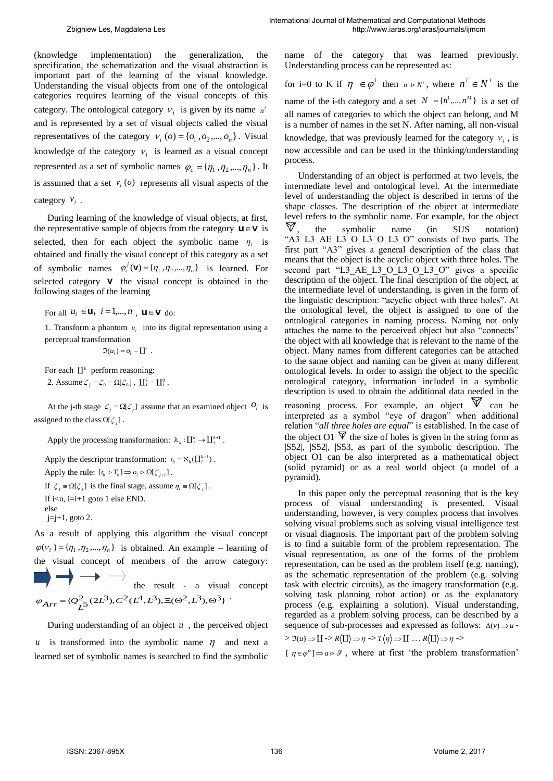(knowledge implementation) the generalization, the specification, the schematization and the visual abstraction is important part of the learning of the visual knowledge. Understanding the visual objects from one of the ontological categories requires learning of the visual concepts of this category. The ontological category  $V_i$  is given by its name  $n^i$ and is represented by a set of visual objects called the visual representatives of the category  $v_i(o) = \{o_1, o_2, ..., o_n\}$ . Visual knowledge of the category  $v_i$  is learned as a visual concept represented as a set of symbolic names  $\varphi_c = {\eta_1, \eta_2, ..., \eta_n}$ . It is assumed that a set  $v_i$  ( $o$ ) represents all visual aspects of the category  $v_i$ .

During learning of the knowledge of visual objects, at first, the representative sample of objects from the category  $\mathbf{u} \in \mathbf{v}$  is selected, then for each object the symbolic name  $\eta_i$  is obtained and finally the visual concept of this category as a set of symbolic names  $\varphi_c^j(\mathbf{V}) = {\eta_1, \eta_2, ..., \eta_n}$  is learned. For selected category **v** the visual concept is obtained in the following stages of the learning

For all  $u_i \in \mathbf{U}$ ,  $i = 1,...,n$ ,  $\mathbf{u} \in \mathbf{V}$  do:

1. Transform a phantom  $u_i$  into its digital representation using a perceptual transformation

 $\Im(u_i) = o_i - \coprod^i$ .

For each  $\mathbf{L}^k$  perform reasoning: 2. Assume  $\zeta_i \equiv \zeta_0 \equiv \Omega[\zeta_0]$ ,  $\prod_i^k \equiv \prod_i^0$ .

At the j-th stage  $\zeta_j = \Omega[\zeta_j]$  assume that an examined object  $\theta_i$  is assigned to the class  $\Omega[\zeta_j]$ .

Apply the processing transformation:  $\lambda_k: \mathbf{L}_i^k \to \mathbf{L}_i^{k+1}$ .

Apply the descriptor transformation:  $\iota_h = \aleph_h(\prod_i^{k+1})$ . Apply the rule:  $[t_h > T_h] \Rightarrow o_i \triangleright \Omega[\zeta_{j+1}]$ . If  $\zeta_j = \Omega[\zeta_j]$  is the final stage, assume  $\eta_i = \Omega[\zeta_j]$ . If  $i\leq n$ ,  $i=i+1$  goto 1 else END. else

 $j=j+1$ , goto 2.

As a result of applying this algorithm the visual concept  $\varphi$ ( $v_i$ ) = { $\eta_1$ , $\eta_2$ ,..., $\eta_n$ } is obtained. An example – learning of the visual concept of members of the arrow category:  $\longrightarrow$  the result - a visual concept  $\varphi_{Arr} = \{ \mathcal{Q}_L^2(2L^3), C^2(L^4,L^3), \Xi(\Theta^2,L^3), \Theta^3 \} \ .$ 

During understanding of an object  $u$ , the perceived object *u* is transformed into the symbolic name  $\eta$  and next a learned set of symbolic names is searched to find the symbolic

name of the category that was learned previously. Understanding process can be represented as:

for i=0 to K if  $\eta \in \varphi^i$  then  $n^i \triangleright N^i$ , where  $n^i \in N^i$  is the name of the i-th category and a set  $N = \{n^1, ..., n^M\}$  is a set of all names of categories to which the object can belong, and M is a number of names in the set N. After naming, all non-visual knowledge, that was previously learned for the category  $v_i$ , is now accessible and can be used in the thinking/understanding process.

Understanding of an object is performed at two levels, the intermediate level and ontological level. At the intermediate level of understanding the object is described in terms of the shape classes. The description of the object at intermediate level refers to the symbolic name. For example, for the object  $\nabla$  the symbolic name (in SUS notation) , the symbolic name (in SUS notation) "A3\_L3\_AE\_L3\_O\_L3\_O\_L3\_O" consists of two parts. The first part "A3" gives a general description of the class that means that the object is the acyclic object with three holes. The second part "L3 AE L3 O L3 O L3 O" gives a specific description of the object. The final description of the object, at the intermediate level of understanding, is given in the form of the linguistic description: "acyclic object with three holes". At the ontological level, the object is assigned to one of the ontological categories in naming process. Naming not only attaches the name to the perceived object but also "connects" the object with all knowledge that is relevant to the name of the object. Many names from different categories can be attached to the same object and naming can be given at many different ontological levels. In order to assign the object to the specific ontological category, information included in a symbolic description is used to obtain the additional data needed in the reasoning process. For example, an object  $\nabla$  can be interpreted as a symbol "eye of dragon" when additional relation "*all three holes are equal*" is established. In the case of the object O1  $\overline{\mathbb{V}}$  the size of holes is given in the string form as |S52|, |S52|, |S53, as part of the symbolic description. The object O1 can be also interpreted as a mathematical object (solid pyramid) or as a real world object (a model of a pyramid).

In this paper only the perceptual reasoning that is the key process of visual understanding is presented. Visual understanding, however, is very complex process that involves solving visual problems such as solving visual intelligence test or visual diagnosis. The important part of the problem solving is to find a suitable form of the problem representation. The visual representation, as one of the forms of the problem representation, can be used as the problem itself (e.g. naming), as the schematic representation of the problem (e.g. solving task with electric circuits), as the imagery transformation (e.g. solving task planning robot action) or as the explanatory process (e.g. explaining a solution). Visual understanding, regarded as a problem solving process, can be described by a sequence of sub-processes and expressed as follows:  $\Delta(v) \Rightarrow u$  $> \Im(u) \Rightarrow \Box \rightarrow R\langle \Box \rangle \Rightarrow \eta \rightarrow T\langle \eta \rangle \Rightarrow \Box \dots R\langle \Box \rangle \Rightarrow \eta \rightarrow$ 

 $[ \eta \in \varphi^{\alpha}] \Rightarrow a \triangleright \vartheta^{i}$ , where at first 'the problem transformation'